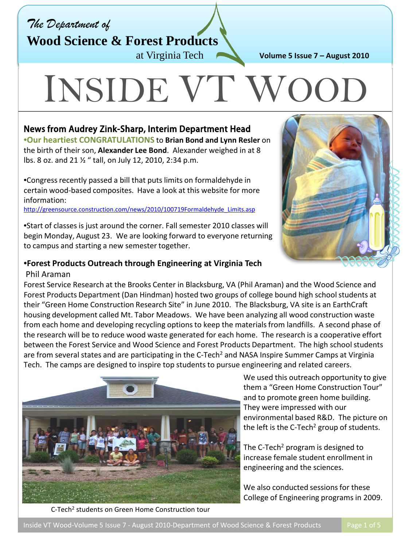*The Department of*

**Wood Science & Forest Products**

at Virginia Tech

**Volume 5 Issue 7 – August 2010**

# INSIDE VT W

## News from Audrey Zink-Sharp, Interim Department Head

•**Our heartiest CONGRATULATIONS** to **Brian Bond and Lynn Resler** on the birth of their son, **Alexander Lee Bond**. Alexander weighed in at 8 lbs. 8 oz. and 21 ½ " tall, on July 12, 2010, 2:34 p.m.

•Congress recently passed a bill that puts limits on formaldehyde in certain wood-based composites. Have a look at this website for more information:

[http://greensource.construction.com/news/2010/100719Formaldehyde\\_Limits.asp](http://greensource.construction.com/news/2010/100719Formaldehyde_Limits.asp)

•Start of classes is just around the corner. Fall semester 2010 classes will begin Monday, August 23. We are looking forward to everyone returning to campus and starting a new semester together.

### •**Forest Products Outreach through Engineering at Virginia Tech**

#### Phil Araman

Forest Service Research at the Brooks Center in Blacksburg, VA (Phil Araman) and the Wood Science and Forest Products Department (Dan Hindman) hosted two groups of college bound high school students at their "Green Home Construction Research Site" in June 2010. The Blacksburg, VA site is an EarthCraft housing development called Mt. Tabor Meadows. We have been analyzing all wood construction waste from each home and developing recycling options to keep the materials from landfills. A second phase of the research will be to reduce wood waste generated for each home. The research is a cooperative effort between the Forest Service and Wood Science and Forest Products Department. The high school students are from several states and are participating in the C-Tech<sup>2</sup> and NASA Inspire Summer Camps at Virginia Tech. The camps are designed to inspire top students to pursue engineering and related careers.





We used this outreach opportunity to give them a "Green Home Construction Tour" and to promote green home building. They were impressed with our environmental based R&D. The picture on the left is the C-Tech<sup>2</sup> group of students.

The C-Tech<sup>2</sup> program is designed to increase female student enrollment in engineering and the sciences.

We also conducted sessions for these College of Engineering programs in 2009.

C-Tech2 students on Green Home Construction tour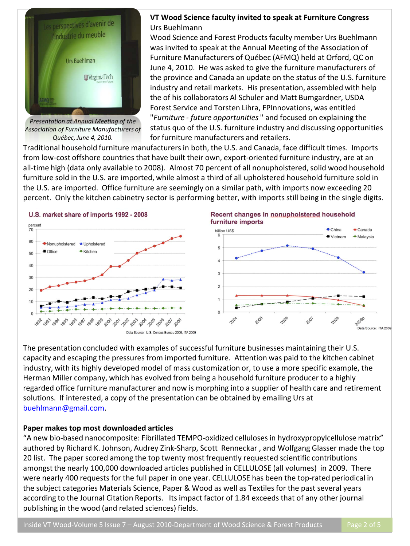

*Presentation at Annual Meeting of the Association of Furniture Manufacturers of Québec, June 4, 2010.*

#### **VT Wood Science faculty invited to speak at Furniture Congress** Urs Buehlmann

Wood Science and Forest Products faculty member Urs Buehlmann was invited to speak at the Annual Meeting of the Association of Furniture Manufacturers of Québec (AFMQ) held at Orford, QC on June 4, 2010. He was asked to give the furniture manufacturers of the province and Canada an update on the status of the U.S. furniture industry and retail markets. His presentation, assembled with help the of his collaborators Al Schuler and Matt Bumgardner, USDA Forest Service and Torsten Lihra, FPInnovations, was entitled "*Furniture - future opportunities* " and focused on explaining the status quo of the U.S. furniture industry and discussing opportunities for furniture manufacturers and retailers.

Traditional household furniture manufacturers in both, the U.S. and Canada, face difficult times. Imports from low-cost offshore countries that have built their own, export-oriented furniture industry, are at an all-time high (data only available to 2008). Almost 70 percent of all nonupholstered, solid wood household furniture sold in the U.S. are imported, while almost a third of all upholstered household furniture sold in the U.S. are imported. Office furniture are seemingly on a similar path, with imports now exceeding 20 percent. Only the kitchen cabinetry sector is performing better, with imports still being in the single digits.



The presentation concluded with examples of successful furniture businesses maintaining their U.S. capacity and escaping the pressures from imported furniture. Attention was paid to the kitchen cabinet industry, with its highly developed model of mass customization or, to use a more specific example, the Herman Miller company, which has evolved from being a household furniture producer to a highly regarded office furniture manufacturer and now is morphing into a supplier of health care and retirement solutions. If interested, a copy of the presentation can be obtained by emailing Urs at [buehlmann@gmail.com](mailto:buehlmann@gmail.com).

#### **Paper makes top most downloaded articles**

"A new bio-based nanocomposite: Fibrillated TEMPO-oxidized celluloses in hydroxypropylcellulose matrix" authored by Richard K. Johnson, Audrey Zink-Sharp, Scott Renneckar , and Wolfgang Glasser made the top 20 list. The paper scored among the top twenty most frequently requested scientific contributions amongst the nearly 100,000 downloaded articles published in CELLULOSE (all volumes) in 2009. There were nearly 400 requests for the full paper in one year. CELLULOSE has been the top-rated periodical in the subject categories Materials Science, Paper & Wood as well as Textiles for the past several years according to the Journal Citation Reports. Its impact factor of 1.84 exceeds that of any other journal publishing in the wood (and related sciences) fields.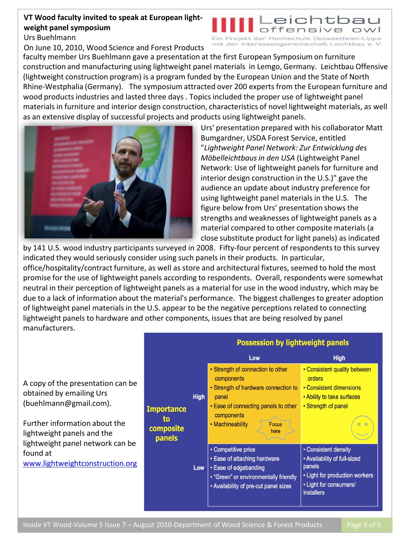#### **VT Wood faculty invited to speak at European lightweight panel symposium**

Urs Buehlmann

On June 10, 2010, Wood Science and Forest Products

#### eichtk offensive rojekt der Hochschule Ostwestfalen-Lippe

mit der Interessengemeinschaft Leichtbau e.V.

faculty member Urs Buehlmann gave a presentation at the first European Symposium on furniture construction and manufacturing using lightweight panel materials in Lemgo, Germany. Leichtbau Offensive (lightweight construction program) is a program funded by the European Union and the State of North Rhine-Westphalia (Germany). The symposium attracted over 200 experts from the European furniture and wood products industries and lasted three days . Topics included the proper use of lightweight panel materials in furniture and interior design construction, characteristics of novel lightweight materials, as well as an extensive display of successful projects and products using lightweight panels.



Urs' presentation prepared with his collaborator Matt Bumgardner, USDA Forest Service, entitled "*Lightweight Panel Network: Zur Entwicklung des Möbelleichtbausin den USA* (Lightweight Panel Network: Use of lightweight panels for furniture and interior design construction in the U.S.)" gave the audience an update about industry preference for using lightweight panel materials in the U.S. The figure below from Urs' presentation shows the strengths and weaknesses of lightweight panels as a material compared to other composite materials (a close substitute product for light panels) as indicated

by 141 U.S. wood industry participants surveyed in 2008. Fifty-four percent of respondents to this survey indicated they would seriously consider using such panels in their products. In particular, office/hospitality/contract furniture, as well as store and architectural fixtures, seemed to hold the most promise for the use of lightweight panels according to respondents. Overall, respondents were somewhat neutral in their perception of lightweight panels as a material for use in the wood industry, which may be due to a lack of information about the material's performance. The biggest challenges to greater adoption of lightweight panel materials in the U.S. appear to be the negative perceptions related to connecting lightweight panels to hardware and other components, issues that are being resolved by panel manufacturers.

A copy of the presentation can be obtained by emailing Urs (buehlmann@gmail.com).

Further information about the lightweight panels and the lightweight panel network can be found at [www.lightweightconstruction.org](http://www.lightweightconstruction.org/)

|                                                |             | <b>Possession by lightweight panels</b>                                                                                                                                                            |                                                                                                                                                 |
|------------------------------------------------|-------------|----------------------------------------------------------------------------------------------------------------------------------------------------------------------------------------------------|-------------------------------------------------------------------------------------------------------------------------------------------------|
|                                                |             | Low                                                                                                                                                                                                | <b>High</b>                                                                                                                                     |
| <b>Importance</b><br>to<br>composite<br>panels | <b>High</b> | • Strength of connection to other<br>components<br>• Strength of hardware connection to<br>panel<br>• Ease of connecting panels to other<br>components<br>• Machineability<br><b>Focus</b><br>here | • Consistent quality between<br>orders<br>• Consistent dimensions<br>• Ability to take surfaces<br>• Strength of panel<br>$\bullet$<br>$\theta$ |
|                                                | Low         | • Competitive price<br>• Ease of attaching hardware<br>• Ease of edgebanding<br>• "Green" or environmentally friendly<br>. Availability of pre-cut panel sizes                                     | • Consistent density<br>• Availability of full-sized<br>panels<br>• Light for production workers<br>• Light for consumers/<br><b>installers</b> |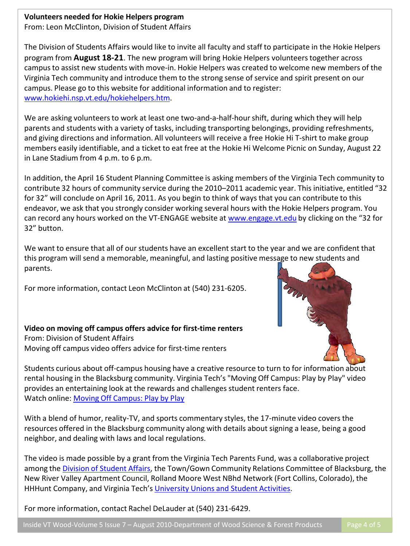#### **Volunteers needed for Hokie Helpers program**

From: Leon McClinton, Division of Student Affairs

The Division of Students Affairs would like to invite all faculty and staff to participate in the Hokie Helpers program from **August 18-21**. The new program will bring Hokie Helpers volunteers together across campus to assist new students with move-in. Hokie Helpers was created to welcome new members of the Virginia Tech community and introduce them to the strong sense of service and spirit present on our campus. Please go to this website for additional information and to register: [www.hokiehi.nsp.vt.edu/hokiehelpers.htm.](http://www.hokiehi.nsp.vt.edu/hokiehelpers.htm)

We are asking volunteers to work at least one two-and-a-half-hour shift, during which they will help parents and students with a variety of tasks, including transporting belongings, providing refreshments, and giving directions and information. All volunteers will receive a free Hokie Hi T-shirt to make group members easily identifiable, and a ticket to eat free at the Hokie Hi Welcome Picnic on Sunday, August 22 in Lane Stadium from 4 p.m. to 6 p.m.

In addition, the April 16 Student Planning Committee is asking members of the Virginia Tech community to contribute 32 hours of community service during the 2010–2011 academic year. This initiative, entitled "32 for 32" will conclude on April 16, 2011. As you begin to think of ways that you can contribute to this endeavor, we ask that you strongly consider working several hours with the Hokie Helpers program. You can record any hours worked on the VT-ENGAGE website at [www.engage.vt.edu](http://www.engage.vt.edu/) by clicking on the "32 for 32" button.

We want to ensure that all of our students have an excellent start to the year and we are confident that this program will send a memorable, meaningful, and lasting positive message to new students and parents.

For more information, contact Leon McClinton at (540) 231-6205.

#### **Video on moving off campus offers advice for first-time renters** From: Division of Student Affairs Moving off campus video offers advice for first-time renters



Students curious about off-campus housing have a creative resource to turn to for information about rental housing in the Blacksburg community. Virginia Tech's "Moving Off Campus: Play by Play" video provides an entertaining look at the rewards and challenges student renters face. Watch online: [Moving Off Campus: Play by Play](http://www.studentprograms.vt.edu/movingoffcampus)

With a blend of humor, reality-TV, and sports commentary styles, the 17-minute video covers the resources offered in the Blacksburg community along with details about signing a lease, being a good neighbor, and dealing with laws and local regulations.

The video is made possible by a grant from the Virginia Tech Parents Fund, was a collaborative project among the [Division of Student Affairs](http://www.dsa.vt.edu/), the Town/Gown Community Relations Committee of Blacksburg, the New River Valley Apartment Council, Rolland Moore West NBhd Network (Fort Collins, Colorado), the HHHunt Company, and Virginia Tech's [University Unions and Student Activities](http://www.uusa.vt.edu/).

For more information, contact Rachel DeLauder at (540) 231-6429.